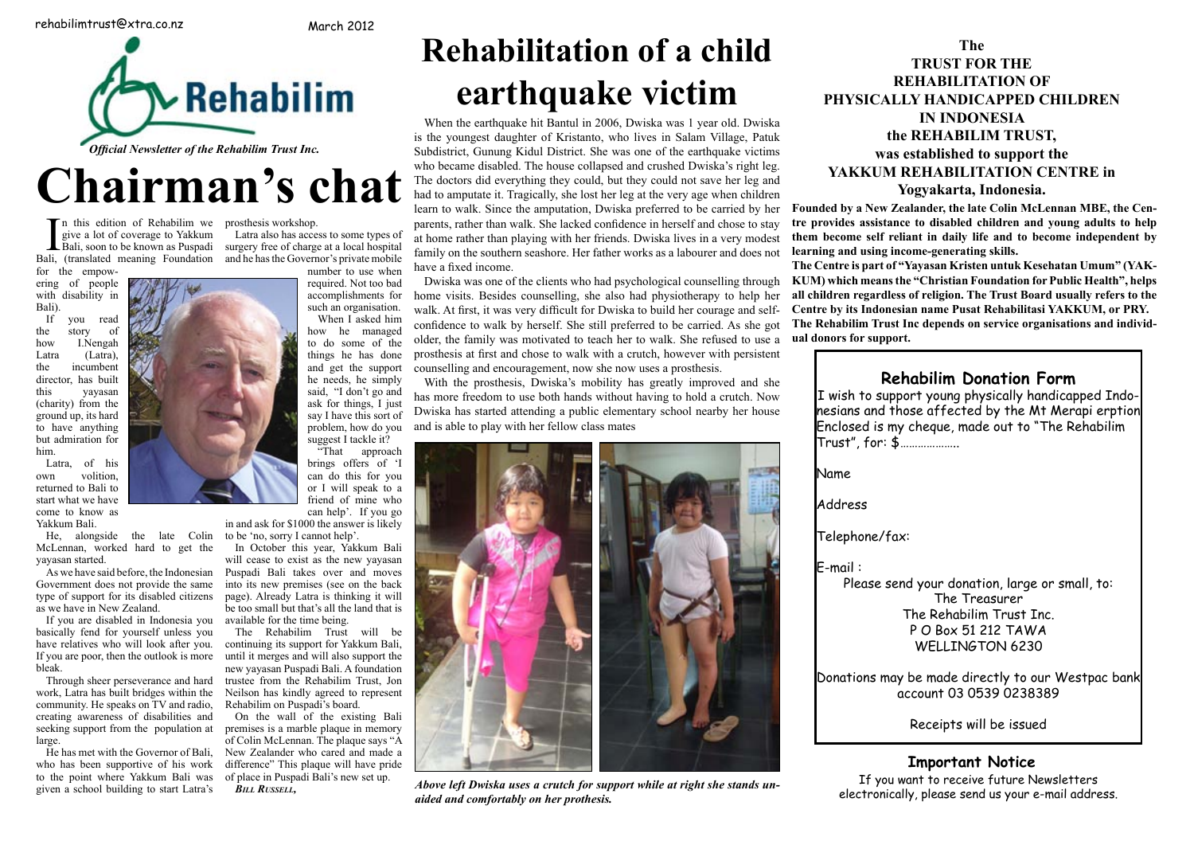## **Rehabilim Donation Form Rehabilim Donation Form**

Name **But was a set waited as a set of the arrived as a set of the arrived as a set of the arrived as a set of the arrived as a set of the arrived as a set of the arrived as a set of the arrived as**  $\alpha$ 

**I** nearly one that the tell you have the tell you have the tell you have the tell you have the tell you have the tell you have the tell you have the tell you have the tell you have the tell you have the tell you have the

**Founded by a New Zealander, the late Colin McLennan MBE, the Centre provides assistance to disabled children and young adults to help them become self reliant in daily life and to become independent by learning and using income-generating skills. The Centre is part of "Yayasan Kristen untuk Kesehatan Umum" (YAK-KUM) which means the "Christian Foundation for Public Health", helps all children regardless of religion. The Trust Board usually refers to the**  rage and self- Centre by its Indonesian name Pusat Rehabilitasi YAKKUM, or PRY. d. As she got The Rehabilim Trust Inc depends on service organisations and individ**angled** to use a ual donors for support. **education or for any employment.** 

**The** 

**TRUST FOR THE**

**REHABILITATION OF**

**PHYSICALLY HANDICAPPED CHILDREN IN INDONESIA**

# **Rehabilitation of a child earthquake victim** PHYSICALLY HANDICAPPED CH **great the seeds of the seeds of the seeds of the seeds in the seeds in the seeds in the seeds in the seeds in the see**

When the earthquake hit Bantul in 2006, Dwiska was 1 year old. Dwiska When the earthquake hit Bantul in 2006, Dwiska was 1 year old. Dwiska<br>is the youngest daughter of Kristanto, who lives in Salam Village, Patuk Subdistrict, Gunung Kidul District. She was one of the earthquake victims who became disabled. The house collapsed and crushed Dwiska's right leg. The doctors did everything they could, but they could not save her leg and who became disabled. The house collapsed and crushed Dwiska's right leg.<br>The doctors did everything they could, but they could not save her leg and<br>had to amputate it. Tragically, she lost her leg at the very age when chil learn to walk. Since the amputation, Dwiska preferred to be carried by her parents, rather than walk. She lacked confidence in herself and chose to stay at home rather than playing with her friends. Dwiska lives in a very modest at home rather than playing with her friends. family on the southern seashore. Her father works as a labourer and does not have a fixed income.  $\blacksquare$   $\blacksquare$   $\blacksquare$   $\blacksquare$   $\blacksquare$  **had to amplitude** it. **Hagivany**, site its **ig** with her friends. Dwiska lives in

**the REHABILIM TRUST,**

**was established to support the**

**YAKKUM REHABILITATION CENTRE in** 

## **Yogyakarta, Indonesia.**

I n this edition of Rehabilim we prosthesis workshop. give a lot of coverage to Yakkum Bali, (translated meaning Foundation and he has the Governor's private mobile

for the empowering of people with disability in Bali). **that we would have a weble** 

If you read the story of how I.Nengah Latra (Latra), the incumbent director, has built yayasan (charity) from the ground up, its hard to have anything but admiration for him. **director**, has built this out administration for

Latra, of his own volition, returned to Bali to start what we have come to know as Yakkum Bali.

McLennan, worked hard to get the yayasan started. ric, alongside the rate Collin to be no, sorry it

As we have said before, the Indonesian Puspadi Bali tak Government does not provide the same into its new prem type of support for its disabled citizens page). Already La as we have in New Zealand. be too small but t

If you are disabled in Indonesia you If you are usabled in hiddiesta you available for the the<br>basically fend for yourself unless you The Rehabilin have relatives who will look after you. continuing its sup If you are poor, then the outlook is more until it merges and bleak. **basically fend for yourself unless you in the Renability** 

Through sheer perseverance and hard trustee from the work, Latra has built bridges within the Neilson has kindl work, Editions of the origin of the community. He speaks on TV and radio, creating awareness of disabilities and On the wall seeking support from the population at premises is a ma large. **a** result of Colin McLennan. The plaque says "A **coline in the risk and the risk and the risk and the risk and the risk and the risk and the risk and the risk and the risk and the risk and the risk and the risk and the ri**  $\frac{1}{2}$  Community. The speaks on T  $\alpha$  and radio,  $\alpha$  Renaomini on T us

He has met with the Governor of Bali, who has been supportive of his work difference" This p to the point where Yakkum Bali was of place in Puspa given a school building to start Latra's **BILL RUSSELL**, **be grateful.** given a senoof bunding to start Latta s *DILL ROSSELL*,

**Anatalye Exercise Solution** Section 1 and the surgery free of charge at a local hospital Bali, (translated meaning Foundation and he has the Governor's private mobile for the empow-<br>number to use when Latra also has access to some types of

> page). Already Latra is thinking it will **be too small but that's all the land that is the size of the size of the size of the size of the size of the size of the size of the size of the size of the size of the size of the size of the size of the size of the si** available for the time being.

The Rehabilim Trust will be **and the surrounding to surrounding the surrounding towns. is continuing its support for Yakkum Bali, and provide and property of**  $\mathbb{R}$ until it merges and will also support the new yayasan Puspadi Bali. A foundation bleak. trustee from the Rehabilim Trust, Jon **Two days in the Rehabilim Trust**, Jon Neilson has kindly agreed to represent **the contract of the contract of the contract of the contract of the contract of the contract of the contract of the contract of the contract of the contract of the contract of the co** Rehabilim on Puspadi's board.

On the wall of the existing Bali **meet a young woman and her brother and her brother and her brother and her brother and her brother and her brother and her brother and her brother and her brother and her brother and her b** premises is a marble plaque in memory **which had been disabled since birth as a structure of the since birth as** New Zealander who cared and made a **Night of the State Widels** New Zealander who cared and made a difference" This plaque will have pride of place in Puspadi Bali's new set up.



# Chairman's chat **CHAIR HIAH S**

**Dwiska was one of the clients who had psychological counselling through** home visits. Besides counselling, she also had physiotherapy to help her walk. At first, it was very difficult for Dwiska to build her courage and selfconfidence to walk by herself. She still preferred to be carried. As she got older, the family was motivated to teach her to walk. She refused to use a prosthesis at first and chose to walk with a crutch, however with persistent counselling and encouragement, now she now uses a prosthesis. riients who had psychological couns **which I** Dwiska to build liet contains the contains of the **whole Putually we are solution as crutch, however with persistent family offering treatment. Her father declined but offered Gede instead,** 

With the prosthesis, Dwiska's mobility has greatly improved and she has more freedom to use both hands without having to hold a crutch. Now has more freedom to use both hands without having to hold a crutch. Dwiska has started attending a public elementary school nearby her house and is able to play with her fellow class mates **grad opportunity** has more freedom to use both hands without having to hold **b** flow do you and is able to play with her reflow etass mates

number to use when required. Not too bad accomplishments for such an organisation. When I asked him

how he managed to do some of the things he has done and get the support he needs, he simply said, "I don't go and ask for things. I just say I have this sort of Dwiska problem, how do you

He, alongside the late Colin to be 'no, sorry I cannot help'.

I wish to support young physically handicapped Indo-<br> **portunity in the I** wish to support young physically handicapped Indoby her house **comepation in and those affected by the Mt Merapi erption** From the theorem is the three chairs of the minimal of the Rehabilim Enclosed is my cheque, made out to "The Rehabilim" **Both Have nearly caught up school in the set of the set of the set of the set of the set of the set of the set of the set of the set of the set of the set of the set of the set of the set of the set of the set of the set** utch. Now **If the Ballish to support young pnysically nandicapp Nenga (17) Enclosed is my cheque, made out to line ker temporaries and were looking forward to taking up careers in physiotherapy** 

**Address the sun was set the sun was set the sun was set the sun was set the sun was set that in the sun was set the sun was set that in the sun was set to lifting training session. This is where the** 

**to overcome such dans the such dans the such dans the such dans the such dans the such dans the such dans the such dans the such dans the such dans the such dans the such dans the such dans the such dans the such dans the admiration and respect for those who have** 

**E-mail :**  $\blacksquare$ **Nenga, all 40kg of her, has achieved gold**  sia she won go won go won go won go won go won go won go won go won go won go won go won go won go won go won g<br>As a won go won go won go won go won go won go won go won go won go won go won go won go won go won go won go

**Solutions may be made directly to our Westpac bank** account 03 0539 0238389 **Nenga "pumps iron"! 10kg, has also computed at national index ternational events and can lift 110kgs. Yakkum Bali currently has 600 physically** 

**Receipts will be issued support from Holland and Support from Germany and Support from groups such as the support from groups such as the support of**  $\mathbb{R}$ **disabled clients and funds their treatment and education through spon-**

## **Important Notice physiotherapist is working in Bali for a year; another has worked for three**

*x stands un* **years in CEC is the CEC in The Vermany SI** f you want to receive future Newsletters e stanas un-<br>electronically, please send us your e-mail address.

*Bill Russell,*



hew set up. *Above left Dwiska uses a crutch for support while at right she stands unaided and comfortably on her prothesis.* **part of Bali. Nenga's lower body was** 

**and working with disabled people in sport - in Gede's case, training in com-**

**Please send your donation, large or small, to:** The Treasurer **The Rehabilim Trust Inc.** P O Box 51 212 TAWA **day represent Indonesia at the Para Olym-**WELLINGTON 6230 **games in Thailand, and this year she won in which we have a set one of the R pics. Watching her focus on her training, I have no doubt she will achieve the will achieve the will achieve the will achieve the will achieve the she** 

**puter technology.**

**Rehabilim Trust.** 

**takes hold.** 

**Yakkum Bali employs 12 staff as field officers, trainers and crafts-**